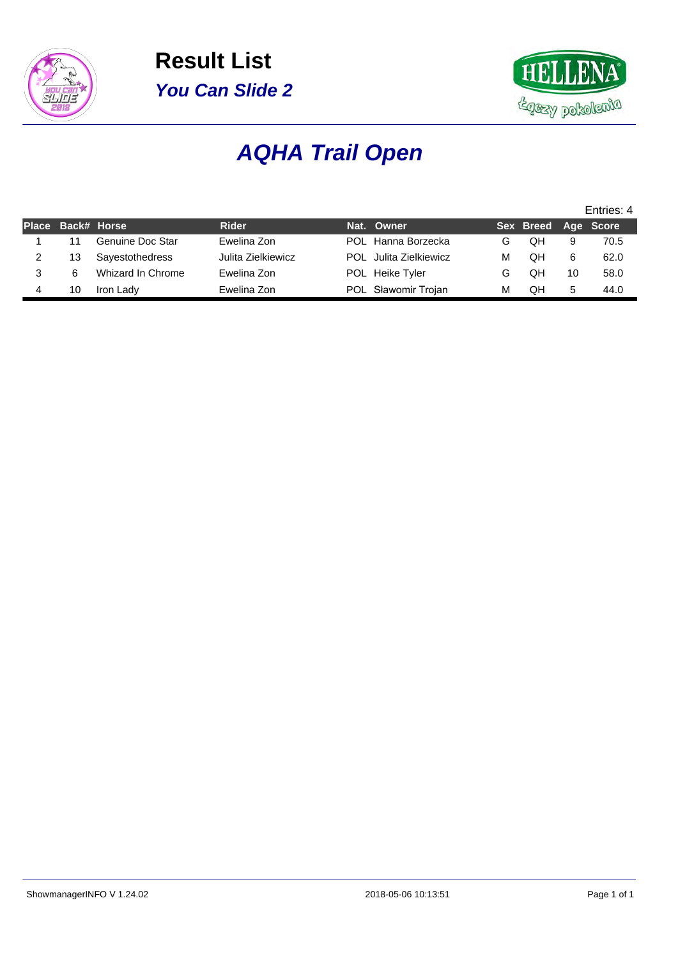



# **AQHA Trail Open**

|                   |                   |                    |                        |   |                     |    | Entries: 4 |
|-------------------|-------------------|--------------------|------------------------|---|---------------------|----|------------|
| Place Back# Horse |                   | <b>Rider</b>       | Nat. Owner             |   | Sex Breed Age Score |    |            |
| 11                | Genuine Doc Star  | Ewelina Zon        | POL Hanna Borzecka     | G | QΗ                  | 9  | 70.5       |
| 13                | Sayestothedress   | Julita Zielkiewicz | POL Julita Zielkiewicz | М | QΗ                  | 6  | 62.0       |
| 6                 | Whizard In Chrome | Ewelina Zon        | POL Heike Tyler        | G | QΗ                  | 10 | 58.0       |
| 10                | Iron Lady         | Ewelina Zon        | POL Sławomir Trojan    | м | QΗ                  | 5  | 44.0       |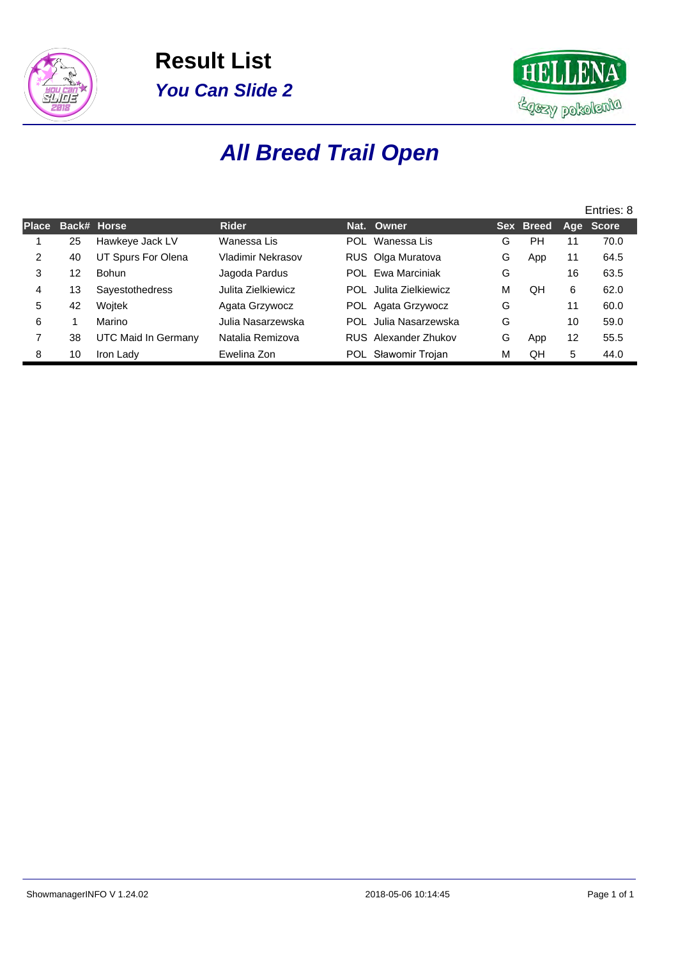



## **All Breed Trail Open**

|              |    |                            |                          |            |                        |   |           |    | Entries: 8 |
|--------------|----|----------------------------|--------------------------|------------|------------------------|---|-----------|----|------------|
| <b>Place</b> |    | Back# Horse                | <b>Rider</b>             |            | Nat. Owner             |   | Sex Breed |    | Age Score  |
|              | 25 | Hawkeye Jack LV            | Wanessa Lis              | <b>POL</b> | Wanessa Lis            | G | PH        | 11 | 70.0       |
| 2            | 40 | UT Spurs For Olena         | <b>Vladimir Nekrasov</b> |            | RUS Olga Muratova      | G | App       | 11 | 64.5       |
| 3            | 12 | <b>Bohun</b>               | Jagoda Pardus            | POL        | Ewa Marciniak          | G |           | 16 | 63.5       |
| 4            | 13 | <b>Sayestothedress</b>     | Julita Zielkiewicz       |            | POL Julita Zielkiewicz | м | OΗ        | 6  | 62.0       |
| 5            | 42 | Wojtek                     | Agata Grzywocz           |            | POL Agata Grzywocz     | G |           | 11 | 60.0       |
| 6            |    | Marino                     | Julia Nasarzewska        |            | POL Julia Nasarzewska  | G |           | 10 | 59.0       |
|              | 38 | <b>UTC Maid In Germany</b> | Natalia Remizova         |            | RUS Alexander Zhukov   | G | App       | 12 | 55.5       |
| 8            | 10 | Iron Lady                  | Ewelina Zon              | POL.       | Sławomir Trojan        | м | QH        | 5  | 44.0       |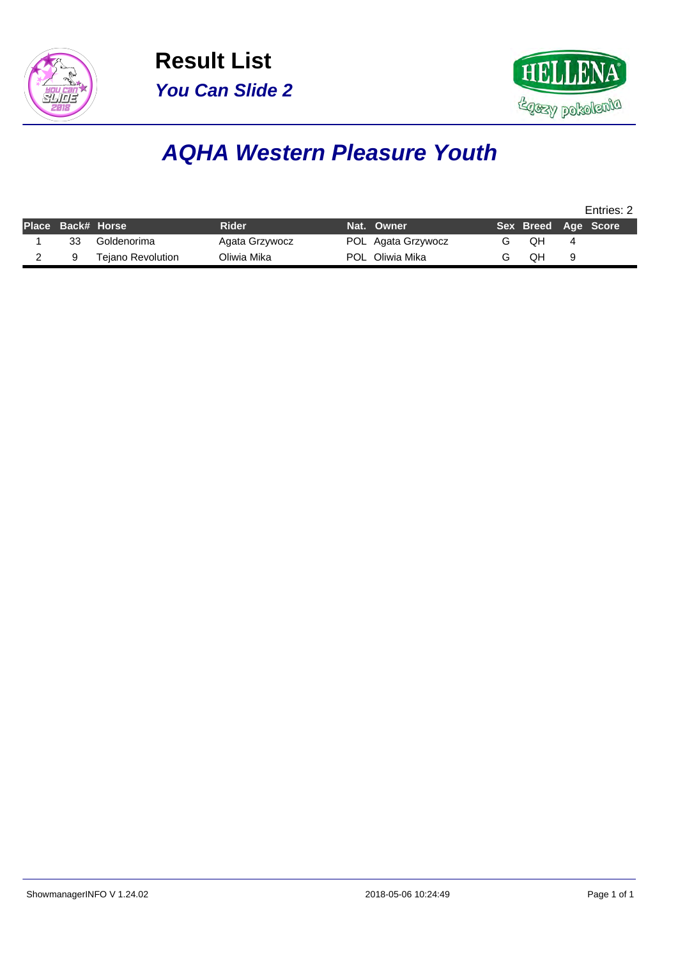



### **AQHA Western Pleasure Youth**

|                   |                          |                |                    |                     |   | Entries: 2 |
|-------------------|--------------------------|----------------|--------------------|---------------------|---|------------|
| Place Back# Horse |                          | Rider          | Nat. Owner         | Sex Breed Age Score |   |            |
| 33                | Goldenorima              | Agata Grzywocz | POL Agata Grzywocz | OН                  | 4 |            |
|                   | <b>Tejano Revolution</b> | Oliwia Mika    | POL Oliwia Mika    | QΗ                  | 9 |            |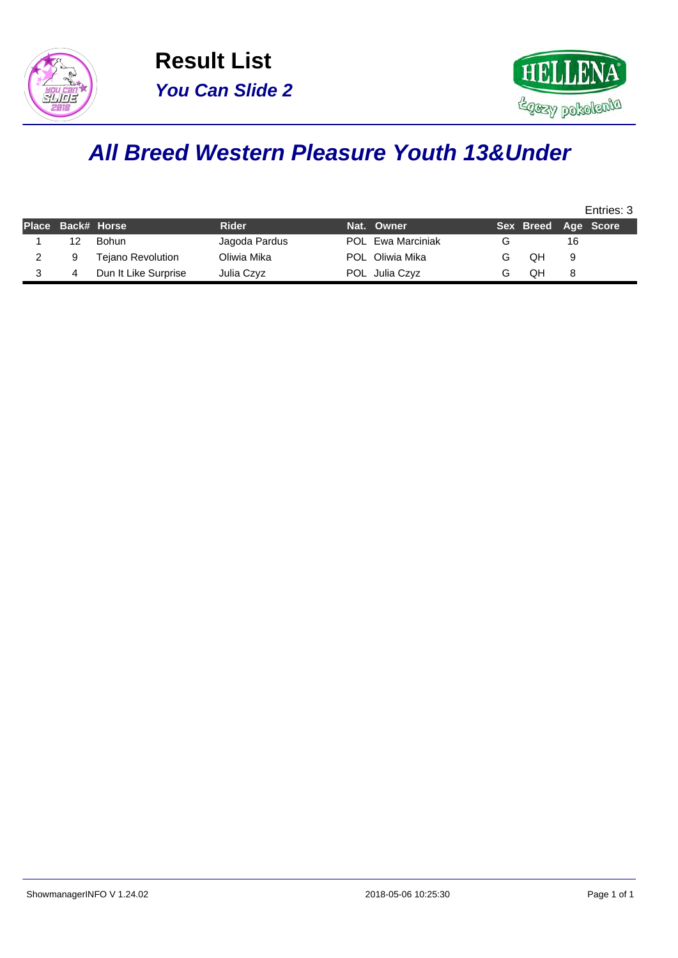



### **All Breed Western Pleasure Youth 13&Under**

|    |                          |               |                          |                     |    | Entries: 3 |
|----|--------------------------|---------------|--------------------------|---------------------|----|------------|
|    | Place Back# Horse        | <b>Rider</b>  | Nat. Owner               | Sex Breed Age Score |    |            |
| 12 | Bohun.                   | Jagoda Pardus | <b>POL</b> Ewa Marciniak |                     | 16 |            |
| 9  | <b>Tejano Revolution</b> | Oliwia Mika   | POL Oliwia Mika          | QΗ                  | 9  |            |
|    | Dun It Like Surprise     | Julia Czyz    | POL Julia Czyz           | QΗ                  |    |            |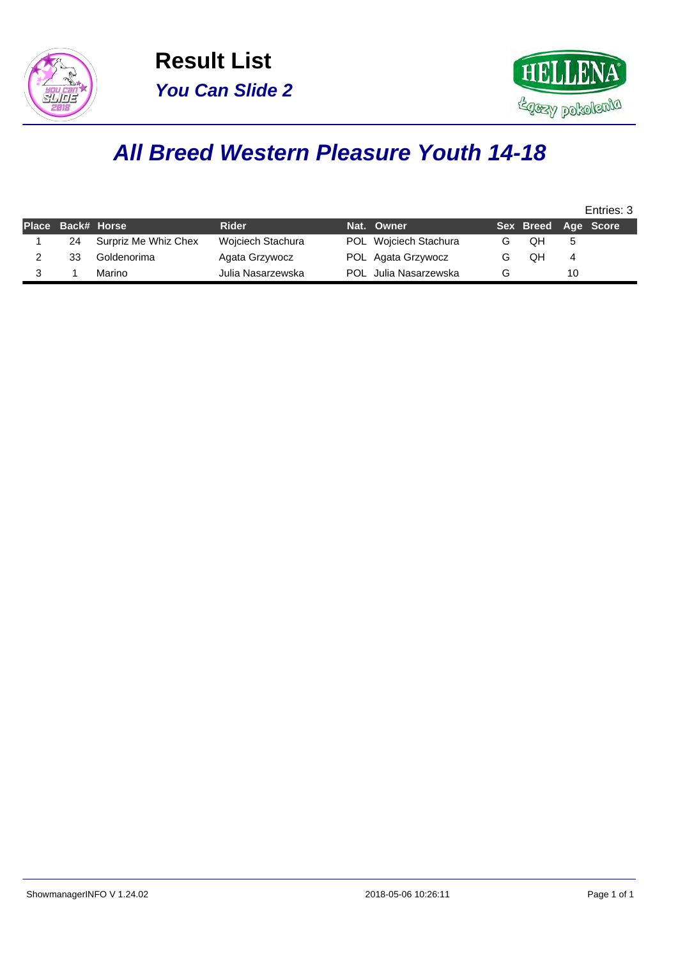



### **All Breed Western Pleasure Youth 14-18**

|                   |                      |                   |                       |                     |    | Entries: 3 |
|-------------------|----------------------|-------------------|-----------------------|---------------------|----|------------|
| Place Back# Horse |                      | <b>Rider</b>      | Nat. Owner            | Sex Breed Age Score |    |            |
| 24                | Surpriz Me Whiz Chex | Wojciech Stachura | POL Wojciech Stachura | QΗ                  | 5. |            |
| 33                | Goldenorima          | Agata Grzywocz    | POL Agata Grzywocz    | QΗ                  | 4  |            |
|                   | Marino               | Julia Nasarzewska | POL Julia Nasarzewska |                     | 10 |            |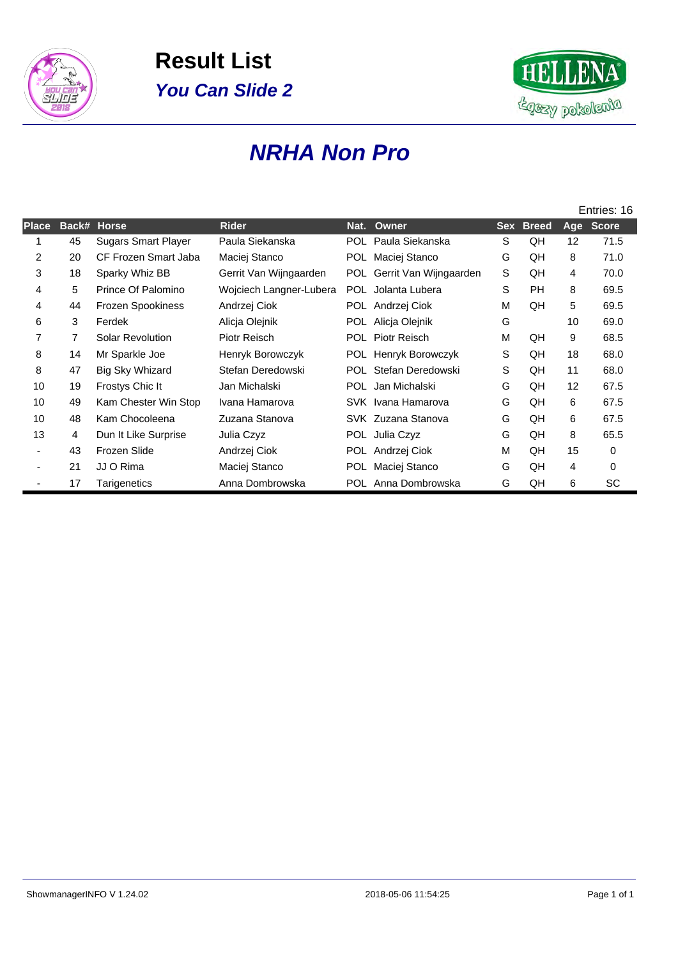



### **NRHA Non Pro**

|       |       |                            |                         |      |                        |            |              |                | Entries: 16  |
|-------|-------|----------------------------|-------------------------|------|------------------------|------------|--------------|----------------|--------------|
| Place | Back# | <b>Horse</b>               | <b>Rider</b>            | Nat. | Owner                  | <b>Sex</b> | <b>Breed</b> | Age            | <b>Score</b> |
|       | 45    | <b>Sugars Smart Player</b> | Paula Siekanska         |      | POL Paula Siekanska    | S          | QH           | 12             | 71.5         |
| 2     | 20    | CF Frozen Smart Jaba       | Maciej Stanco           |      | POL Maciej Stanco      | G          | QH           | 8              | 71.0         |
| 3     | 18    | Sparky Whiz BB             | Gerrit Van Wijngaarden  | POL  | Gerrit Van Wijngaarden | S          | QH           | $\overline{4}$ | 70.0         |
| 4     | 5     | Prince Of Palomino         | Wojciech Langner-Lubera |      | POL Jolanta Lubera     | S          | <b>PH</b>    | 8              | 69.5         |
| 4     | 44    | <b>Frozen Spookiness</b>   | Andrzej Ciok            |      | POL Andrzej Ciok       | M          | QH           | 5              | 69.5         |
| 6     | 3     | Ferdek                     | Alicja Olejnik          |      | POL Alicja Olejnik     | G          |              | 10             | 69.0         |
| 7     | 7     | Solar Revolution           | Piotr Reisch            | POL. | <b>Piotr Reisch</b>    | М          | QH           | 9              | 68.5         |
| 8     | 14    | Mr Sparkle Joe             | Henryk Borowczyk        | POL  | Henryk Borowczyk       | S          | QH           | 18             | 68.0         |
| 8     | 47    | Big Sky Whizard            | Stefan Deredowski       |      | POL Stefan Deredowski  | S          | QH           | 11             | 68.0         |
| 10    | 19    | Frostys Chic It            | Jan Michalski           |      | POL Jan Michalski      | G          | QH           | 12             | 67.5         |
| 10    | 49    | Kam Chester Win Stop       | Ivana Hamarova          |      | SVK Ivana Hamarova     | G          | QH           | 6              | 67.5         |
| 10    | 48    | Kam Chocoleena             | Zuzana Stanova          |      | SVK Zuzana Stanova     | G          | QH           | 6              | 67.5         |
| 13    | 4     | Dun It Like Surprise       | Julia Czyz              |      | POL Julia Czyz         | G          | QH           | 8              | 65.5         |
|       | 43    | Frozen Slide               | Andrzej Ciok            |      | POL Andrzej Ciok       | M          | QH           | 15             | 0            |
|       | 21    | JJ O Rima                  | Maciej Stanco           | POL. | Maciej Stanco          | G          | QH           | 4              | $\mathbf 0$  |
|       | 17    | Tarigenetics               | Anna Dombrowska         |      | POL Anna Dombrowska    | G          | QH           | 6              | SC           |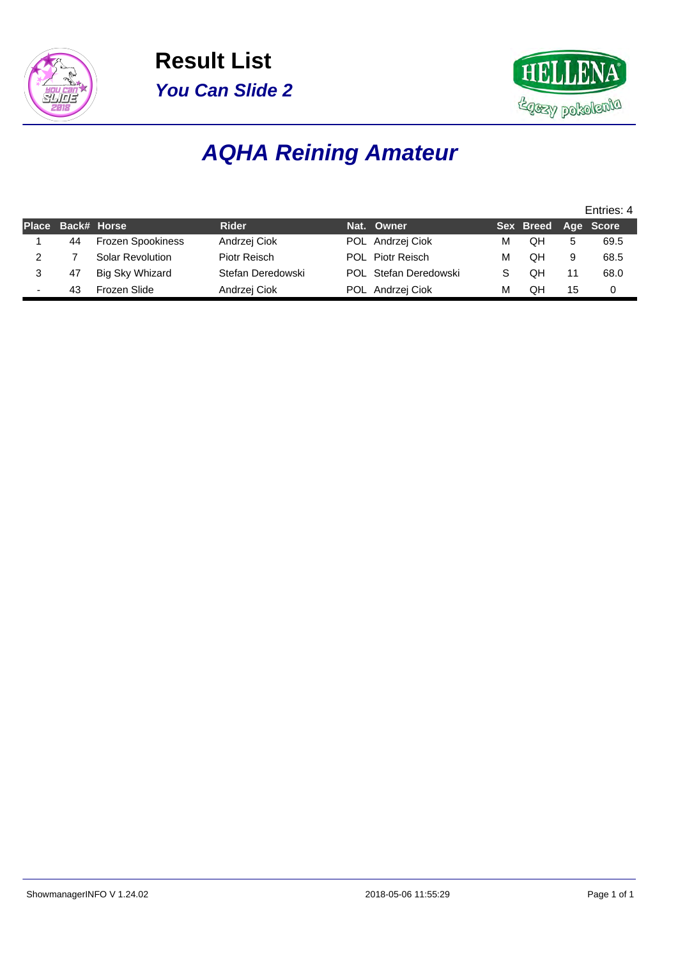



## **AQHA Reining Amateur**

|                   |                          |                   |                       |   |                     |    | Entries: 4 |
|-------------------|--------------------------|-------------------|-----------------------|---|---------------------|----|------------|
| Place Back# Horse |                          | <b>Rider</b>      | Nat. Owner            |   | Sex Breed Age Score |    |            |
| 44                | <b>Frozen Spookiness</b> | Andrzej Ciok      | POL Andrzej Ciok      | м | QΗ                  | 5  | 69.5       |
|                   | Solar Revolution         | Piotr Reisch      | POL Piotr Reisch      | М | OΗ                  | 9  | 68.5       |
| 47                | Big Sky Whizard          | Stefan Deredowski | POL Stefan Deredowski |   | QΗ                  | 11 | 68.0       |
| 43                | Frozen Slide             | Andrzej Ciok      | POL Andrzej Ciok      | М | QΗ                  | 15 | 0          |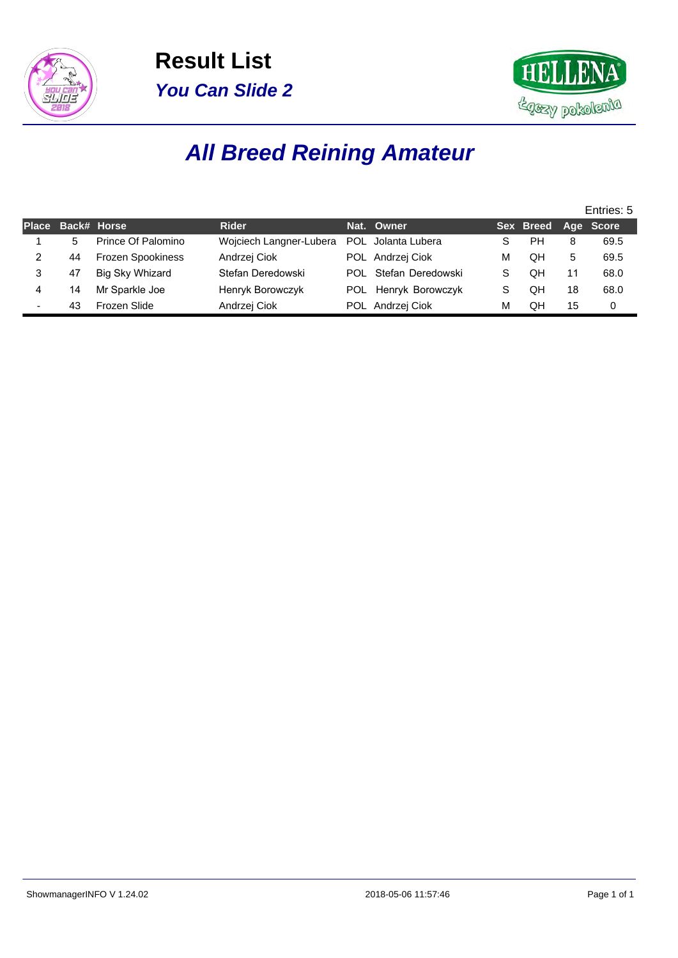



# **All Breed Reining Amateur**

|                          |                   |                          |                         |                       |   |                     |    | Entries: 5 |
|--------------------------|-------------------|--------------------------|-------------------------|-----------------------|---|---------------------|----|------------|
|                          | Place Back# Horse |                          | <b>Rider</b>            | Nat. Owner            |   | Sex Breed Age Score |    |            |
|                          | 5                 | Prince Of Palomino       | Wojciech Langner-Lubera | POL Jolanta Lubera    | S | PН                  | 8  | 69.5       |
|                          | 44                | <b>Frozen Spookiness</b> | Andrzej Ciok            | POL Andrzej Ciok      | м | QH                  | 5  | 69.5       |
|                          | 47                | Big Sky Whizard          | Stefan Deredowski       | POL Stefan Deredowski | S | QH                  |    | 68.0       |
|                          | 14                | Mr Sparkle Joe           | Henryk Borowczyk        | POL Henryk Borowczyk  | S | QH                  | 18 | 68.0       |
| $\overline{\phantom{0}}$ | 43                | Frozen Slide             | Andrzej Ciok            | POL Andrzej Ciok      | м | QH                  | 15 | 0          |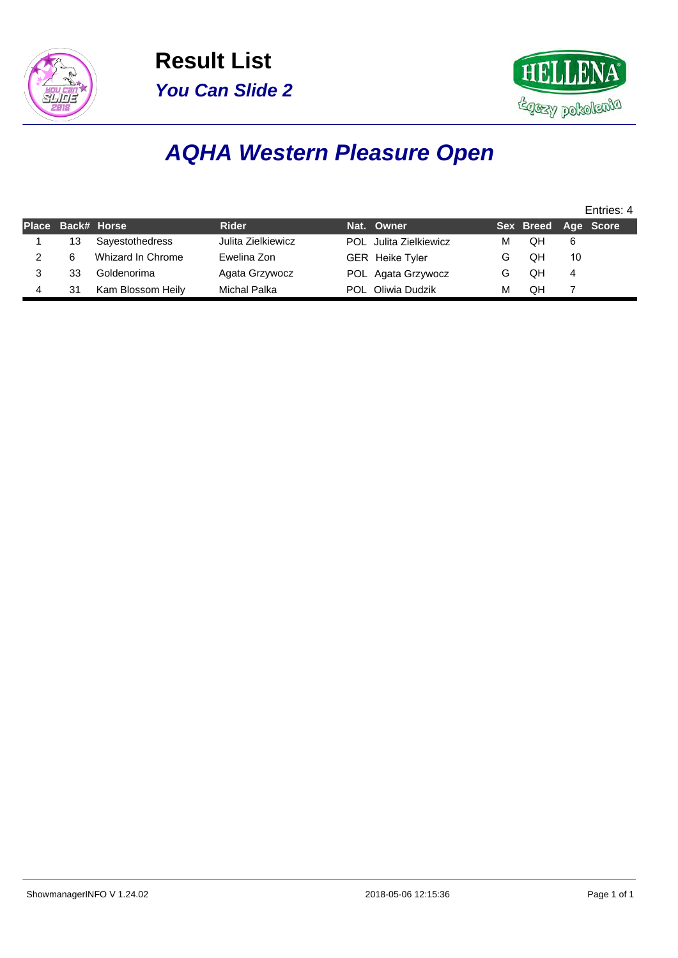



## **AQHA Western Pleasure Open**

|                   |                   |                    |                        |   |                     |    | Entries: 4 |
|-------------------|-------------------|--------------------|------------------------|---|---------------------|----|------------|
| Place Back# Horse |                   | <b>Rider</b>       | Nat. Owner             |   | Sex Breed Age Score |    |            |
| 13                | Sayestothedress   | Julita Zielkiewicz | POL Julita Zielkiewicz | м | QH                  | 6  |            |
| 6                 | Whizard In Chrome | Ewelina Zon        | <b>GER</b> Heike Tyler | G | QH                  | 10 |            |
| 33                | Goldenorima       | Agata Grzywocz     | POL Agata Grzywocz     |   | QH                  | 4  |            |
| 31                | Kam Blossom Heily | Michal Palka       | POL Oliwia Dudzik      | м | QН                  |    |            |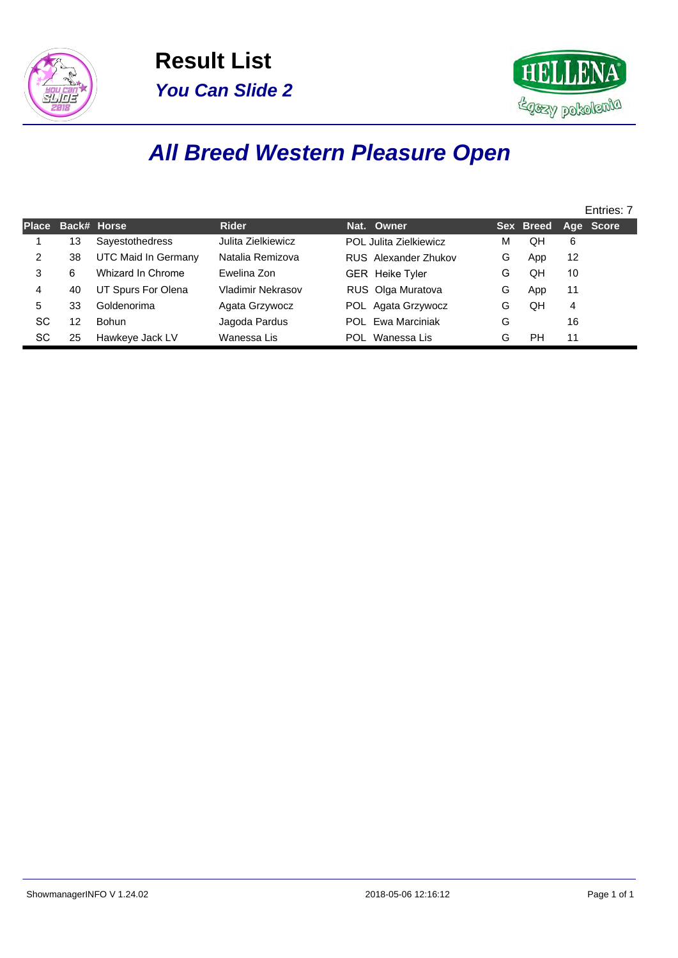



## **All Breed Western Pleasure Open**

|              |    |                     |                    |                          |   |           |    | Entries: 7 |
|--------------|----|---------------------|--------------------|--------------------------|---|-----------|----|------------|
| <b>Place</b> |    | Back# Horse         | <b>Rider</b>       | Nat. Owner               |   | Sex Breed |    | Age Score  |
|              | 13 | Sayestothedress     | Julita Zielkiewicz | POL Julita Zielkiewicz   | м | QH        | 6  |            |
| 2            | 38 | UTC Maid In Germany | Natalia Remizova   | RUS Alexander Zhukov     | G | App       | 12 |            |
| 3            | 6  | Whizard In Chrome   | Ewelina Zon        | <b>GER</b> Heike Tyler   | G | QH        | 10 |            |
| 4            | 40 | UT Spurs For Olena  | Vladimir Nekrasov  | RUS Olga Muratova        | G | App       | 11 |            |
| 5            | 33 | Goldenorima         | Agata Grzywocz     | POL Agata Grzywocz       | G | QH        | 4  |            |
| SC           | 12 | Bohun               | Jagoda Pardus      | <b>POL</b> Ewa Marciniak | G |           | 16 |            |
| SC           | 25 | Hawkeye Jack LV     | Wanessa Lis        | Wanessa Lis<br>POL.      | G | PH        | 11 |            |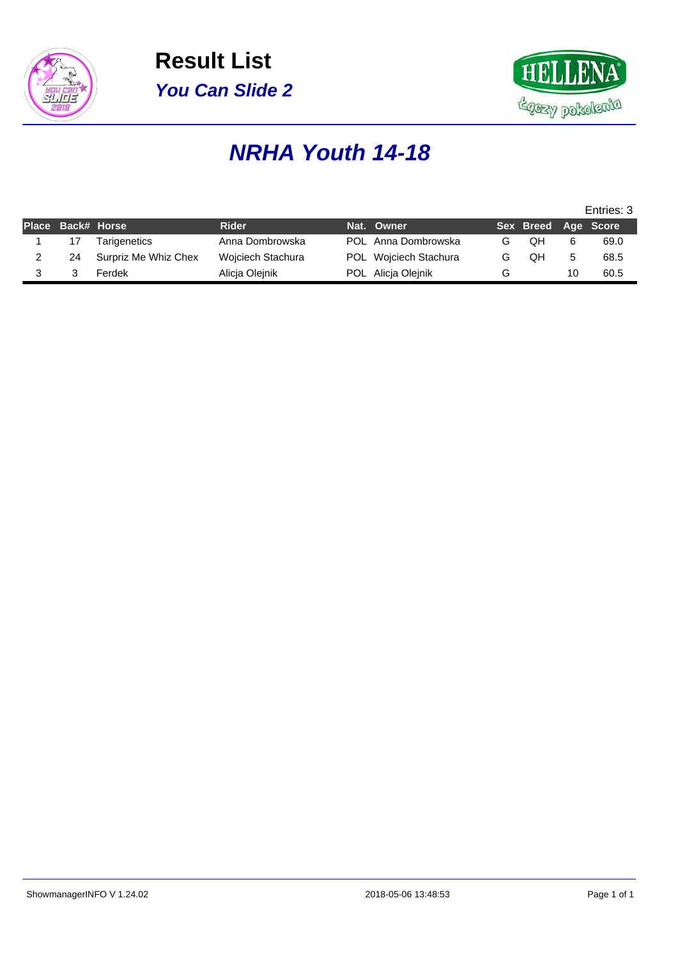



### **NRHA Youth 14-18**

|    |                     |                                           |  |                                                                                  |    |    | Entries: 3          |
|----|---------------------|-------------------------------------------|--|----------------------------------------------------------------------------------|----|----|---------------------|
|    |                     | <b>Rider</b>                              |  |                                                                                  |    |    |                     |
| 17 | <b>Tarigenetics</b> | Anna Dombrowska                           |  | G                                                                                | OΗ | 6  | 69.0                |
| 24 |                     | Wojciech Stachura                         |  | G                                                                                | OΗ |    | 68.5                |
|    | Ferdek              | Alicia Olejnik                            |  | G                                                                                |    | 10 | 60.5                |
|    |                     | Place Back# Horse<br>Surpriz Me Whiz Chex |  | Nat. Owner<br>POL Anna Dombrowska<br>POL Wojciech Stachura<br>POL Alicia Olejnik |    |    | Sex Breed Age Score |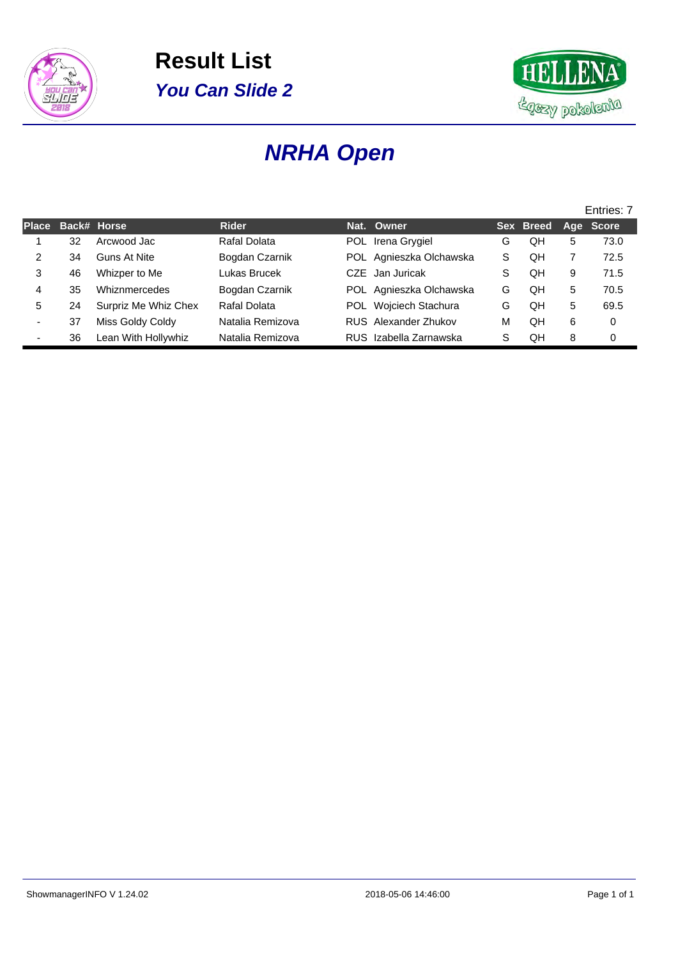



# **NRHA Open**

|                          |    |                      |                  |                         |    |           |   | Entries: 7 |
|--------------------------|----|----------------------|------------------|-------------------------|----|-----------|---|------------|
| <b>Place</b>             |    | Back# Horse          | <b>Rider</b>     | Nat. Owner              |    | Sex Breed |   | Age Score  |
|                          | 32 | Arcwood Jac          | Rafal Dolata     | POL Irena Grygiel       | G  | QH        | 5 | 73.0       |
| 2                        | 34 | Guns At Nite         | Bogdan Czarnik   | POL Agnieszka Olchawska | S. | QH        |   | 72.5       |
| 3                        | 46 | Whizper to Me        | Lukas Brucek     | CZE Jan Juricak         | S  | OН        | 9 | 71.5       |
| 4                        | 35 | Whiznmercedes        | Bogdan Czarnik   | POL Agnieszka Olchawska | G  | QН        | 5 | 70.5       |
| 5.                       | 24 | Surpriz Me Whiz Chex | Rafal Dolata     | POL Wojciech Stachura   | G  | QH        | 5 | 69.5       |
| -                        | 37 | Miss Goldy Coldy     | Natalia Remizova | RUS Alexander Zhukov    | М  | OН        | 6 | $\Omega$   |
| $\overline{\phantom{0}}$ | 36 | Lean With Hollywhiz  | Natalia Remizova | RUS Izabella Zarnawska  | S  | QН        | 8 | 0          |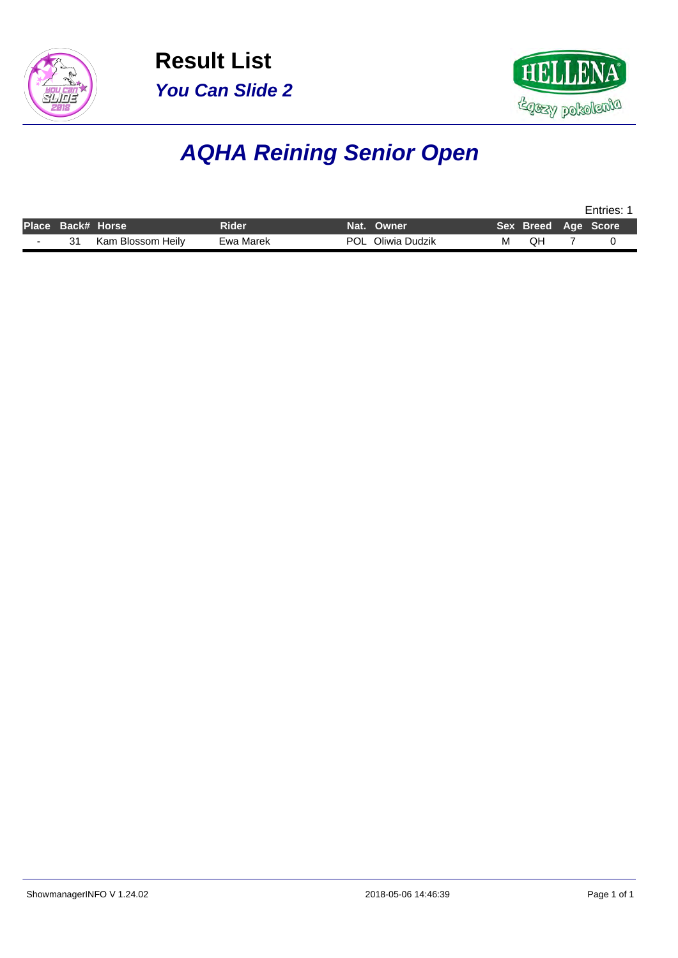



# **AQHA Reining Senior Open**

|                   |                   |              |                   |   | Entries: |  |                     |  |  |
|-------------------|-------------------|--------------|-------------------|---|----------|--|---------------------|--|--|
| Place Back# Horse |                   | <b>Rider</b> | Nat. Owner        |   |          |  | Sex Breed Age Score |  |  |
|                   | Kam Blossom Heilv | Ewa Marek    | POL Oliwia Dudzik | м | QH       |  |                     |  |  |